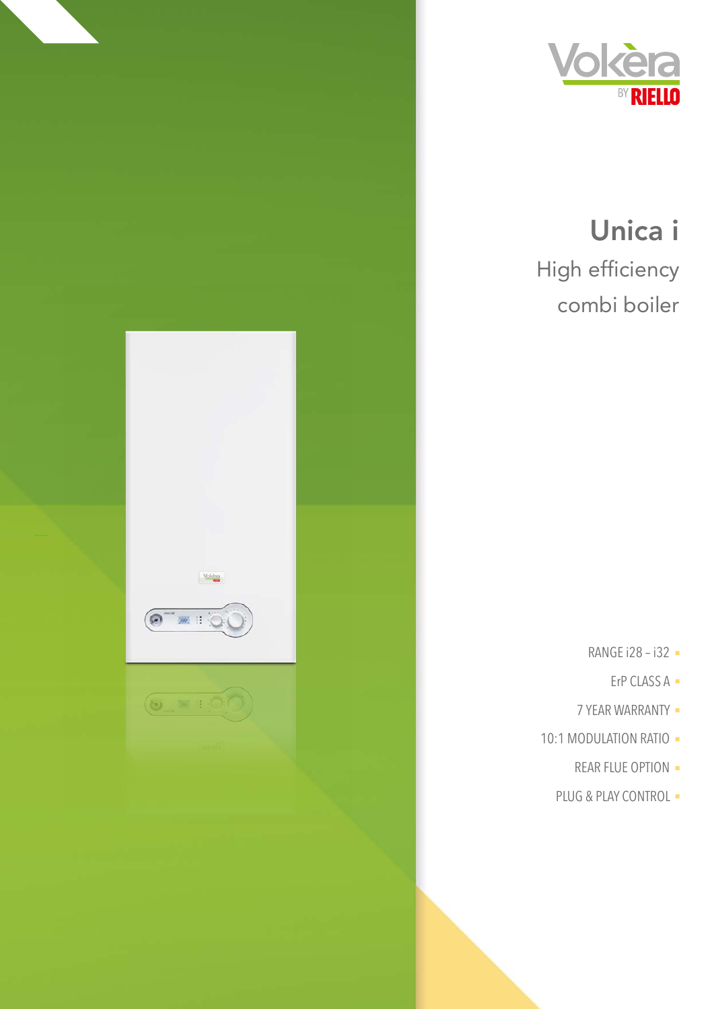

## Unica i High efficiency combi boiler

- RANGE i28 i32 -
	- ErP CLASS A -
- 7 YEAR WARRANTY -
- 10:1 MODULATION RATIO -

Volcèra

 $\left( 0\right)$  =  $\frac{1}{2}$ 

 $\begin{picture}(150,10) \put(0,0){\line(1,0){10}} \put(15,0){\line(1,0){10}} \put(15,0){\line(1,0){10}} \put(15,0){\line(1,0){10}} \put(15,0){\line(1,0){10}} \put(15,0){\line(1,0){10}} \put(15,0){\line(1,0){10}} \put(15,0){\line(1,0){10}} \put(15,0){\line(1,0){10}} \put(15,0){\line(1,0){10}} \put(15,0){\line(1,0){10}} \put(15,0){\line($ 

- REAR FLUE OPTION -
- PLUG & PLAY CONTROL -